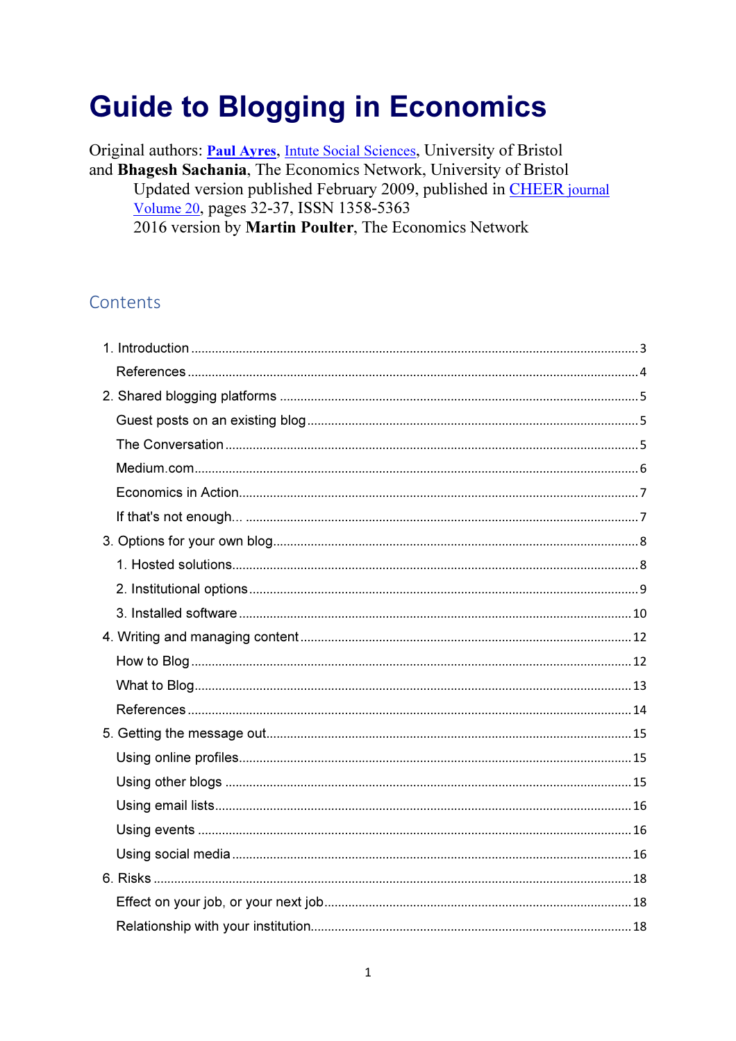# **Guide to Blogging in Economics**

Original authors: **Paul Ayres**, Intute Social Sciences, University of Bristol and Bhagesh Sachania, The Economics Network, University of Bristol Updated version published February 2009, published in CHEER journal Volume 20, pages 32-37, ISSN 1358-5363 2016 version by Martin Poulter, The Economics Network

### Contents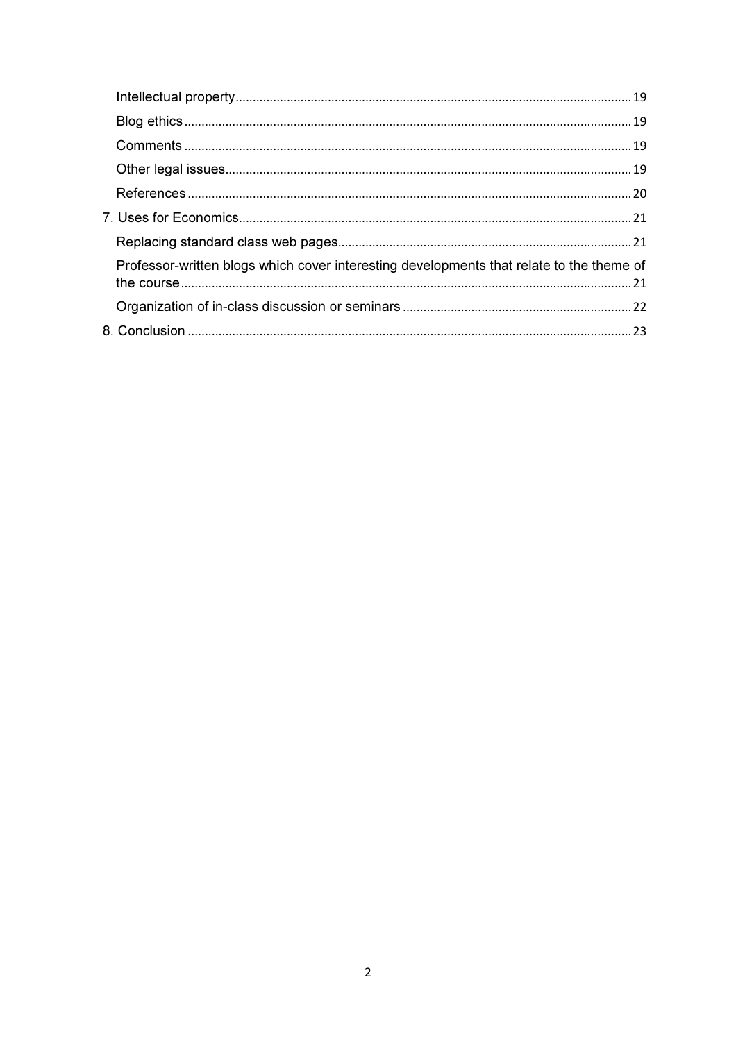| Professor-written blogs which cover interesting developments that relate to the theme of |  |
|------------------------------------------------------------------------------------------|--|
|                                                                                          |  |
|                                                                                          |  |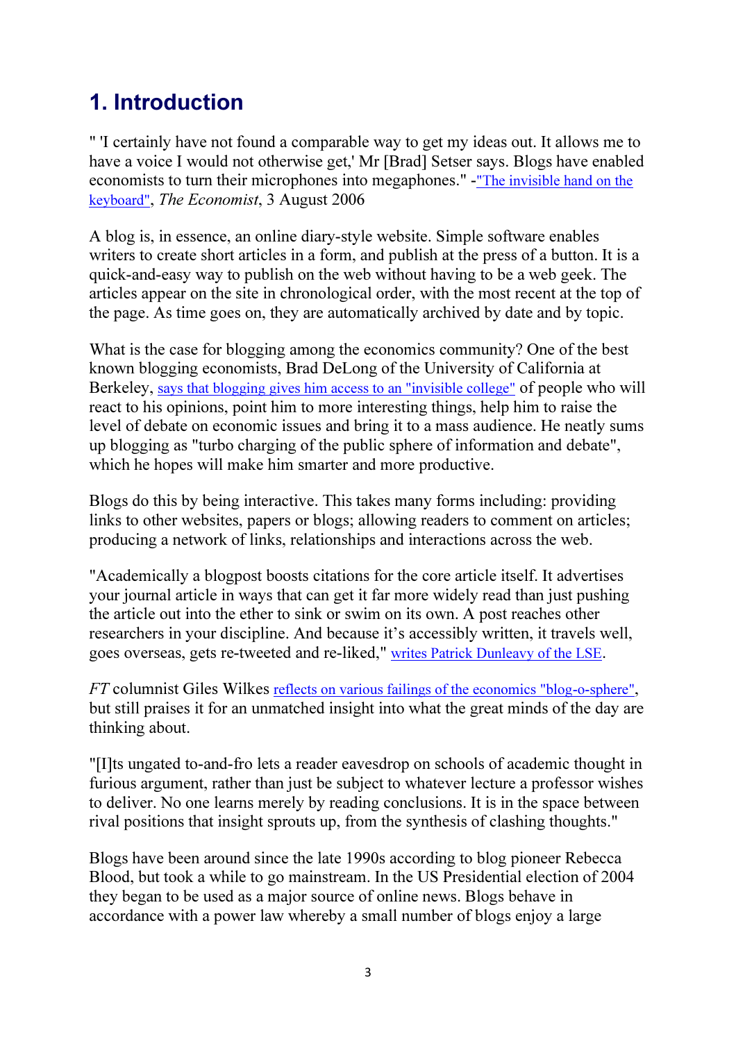## 1. Introduction

" 'I certainly have not found a comparable way to get my ideas out. It allows me to have a voice I would not otherwise get,' Mr [Brad] Setser says. Blogs have enabled economists to turn their microphones into megaphones." -"The invisible hand on the keyboard", The Economist, 3 August 2006

A blog is, in essence, an online diary-style website. Simple software enables writers to create short articles in a form, and publish at the press of a button. It is a quick-and-easy way to publish on the web without having to be a web geek. The articles appear on the site in chronological order, with the most recent at the top of the page. As time goes on, they are automatically archived by date and by topic.

What is the case for blogging among the economics community? One of the best known blogging economists, Brad DeLong of the University of California at Berkeley, says that blogging gives him access to an "invisible college" of people who will react to his opinions, point him to more interesting things, help him to raise the level of debate on economic issues and bring it to a mass audience. He neatly sums up blogging as "turbo charging of the public sphere of information and debate", which he hopes will make him smarter and more productive.

Blogs do this by being interactive. This takes many forms including: providing links to other websites, papers or blogs; allowing readers to comment on articles; producing a network of links, relationships and interactions across the web.

"Academically a blogpost boosts citations for the core article itself. It advertises your journal article in ways that can get it far more widely read than just pushing the article out into the ether to sink or swim on its own. A post reaches other researchers in your discipline. And because it's accessibly written, it travels well, goes overseas, gets re-tweeted and re-liked," writes Patrick Dunleavy of the LSE.

FT columnist Giles Wilkes reflects on various failings of the economics "blog-o-sphere", but still praises it for an unmatched insight into what the great minds of the day are thinking about.

"[I]ts ungated to-and-fro lets a reader eavesdrop on schools of academic thought in furious argument, rather than just be subject to whatever lecture a professor wishes to deliver. No one learns merely by reading conclusions. It is in the space between rival positions that insight sprouts up, from the synthesis of clashing thoughts."

Blogs have been around since the late 1990s according to blog pioneer Rebecca Blood, but took a while to go mainstream. In the US Presidential election of 2004 they began to be used as a major source of online news. Blogs behave in accordance with a power law whereby a small number of blogs enjoy a large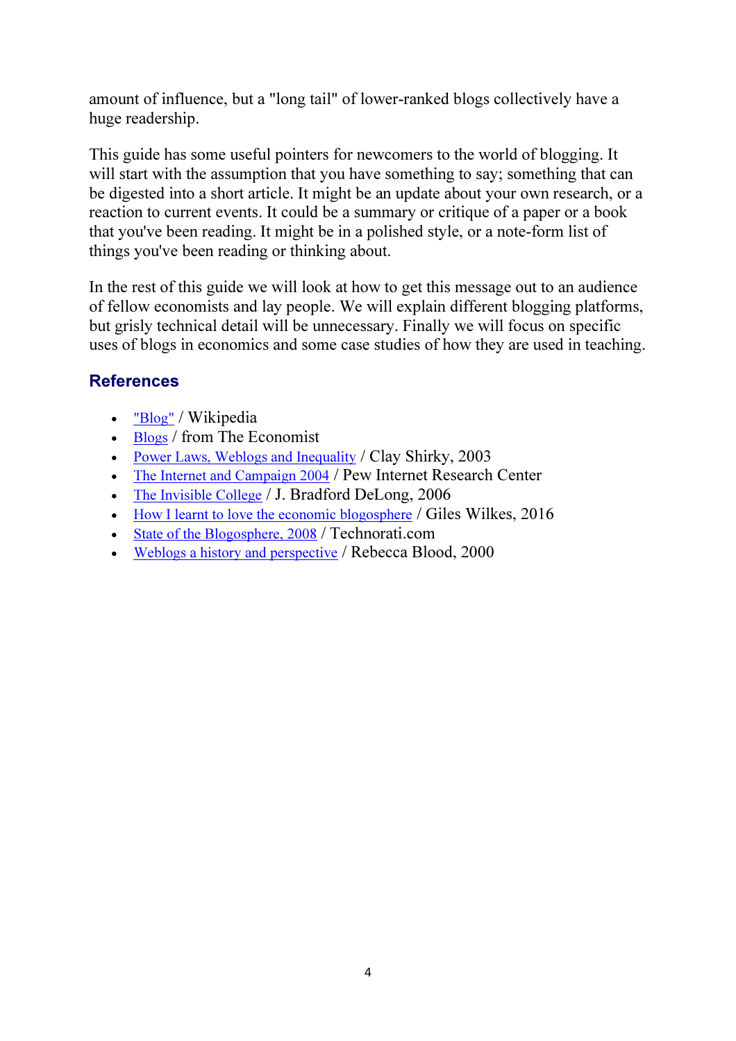amount of influence, but a "long tail" of lower-ranked blogs collectively have a huge readership.

This guide has some useful pointers for newcomers to the world of blogging. It will start with the assumption that you have something to say; something that can be digested into a short article. It might be an update about your own research, or a reaction to current events. It could be a summary or critique of a paper or a book that you've been reading. It might be in a polished style, or a note-form list of things you've been reading or thinking about.

In the rest of this guide we will look at how to get this message out to an audience of fellow economists and lay people. We will explain different blogging platforms, but grisly technical detail will be unnecessary. Finally we will focus on specific uses of blogs in economics and some case studies of how they are used in teaching.

#### **References**

- "Blog" / Wikipedia
- Blogs / from The Economist
- Power Laws, Weblogs and Inequality / Clay Shirky, 2003
- The Internet and Campaign 2004 / Pew Internet Research Center
- The Invisible College / J. Bradford DeLong, 2006
- How I learnt to love the economic blogosphere / Giles Wilkes, 2016
- State of the Blogosphere, 2008 / Technorati.com
- Weblogs a history and perspective / Rebecca Blood, 2000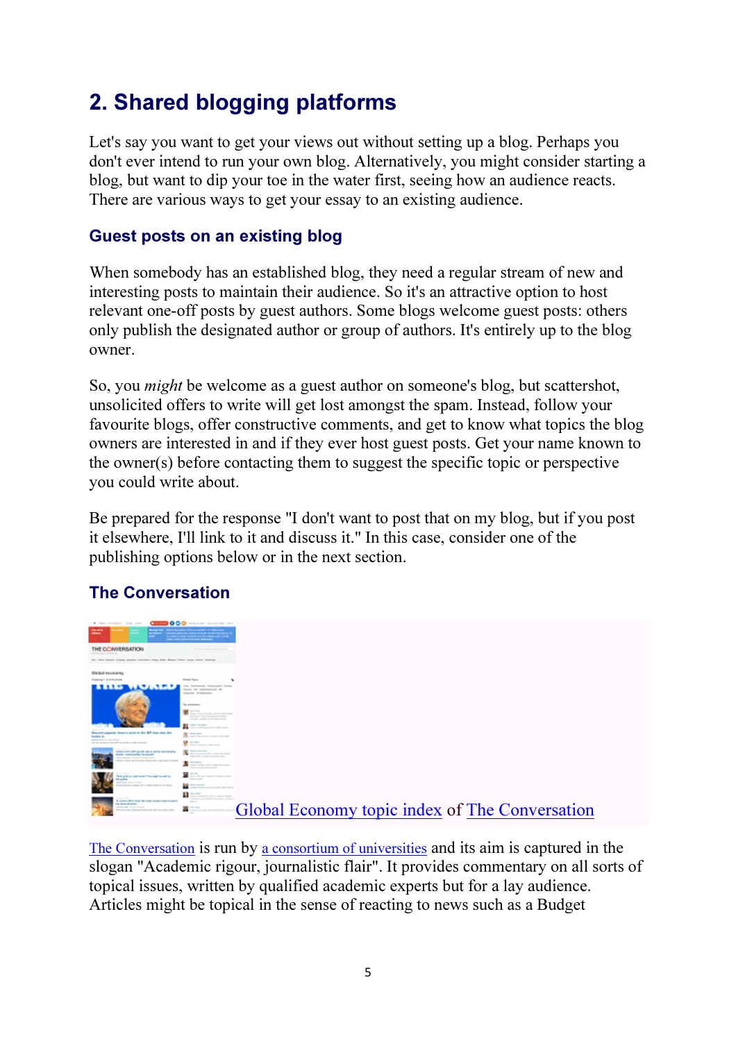## 2. Shared blogging platforms

Let's say you want to get your views out without setting up a blog. Perhaps you don't ever intend to run your own blog. Alternatively, you might consider starting a blog, but want to dip your toe in the water first, seeing how an audience reacts. There are various ways to get your essay to an existing audience.

#### Guest posts on an existing blog

When somebody has an established blog, they need a regular stream of new and interesting posts to maintain their audience. So it's an attractive option to host relevant one-off posts by guest authors. Some blogs welcome guest posts: others only publish the designated author or group of authors. It's entirely up to the blog owner.

So, you might be welcome as a guest author on someone's blog, but scattershot, unsolicited offers to write will get lost amongst the spam. Instead, follow your favourite blogs, offer constructive comments, and get to know what topics the blog owners are interested in and if they ever host guest posts. Get your name known to the owner(s) before contacting them to suggest the specific topic or perspective you could write about.

Be prepared for the response "I don't want to post that on my blog, but if you post it elsewhere, I'll link to it and discuss it." In this case, consider one of the publishing options below or in the next section.

#### The Conversation



The Conversation is run by a consortium of universities and its aim is captured in the slogan "Academic rigour, journalistic flair". It provides commentary on all sorts of topical issues, written by qualified academic experts but for a lay audience. Articles might be topical in the sense of reacting to news such as a Budget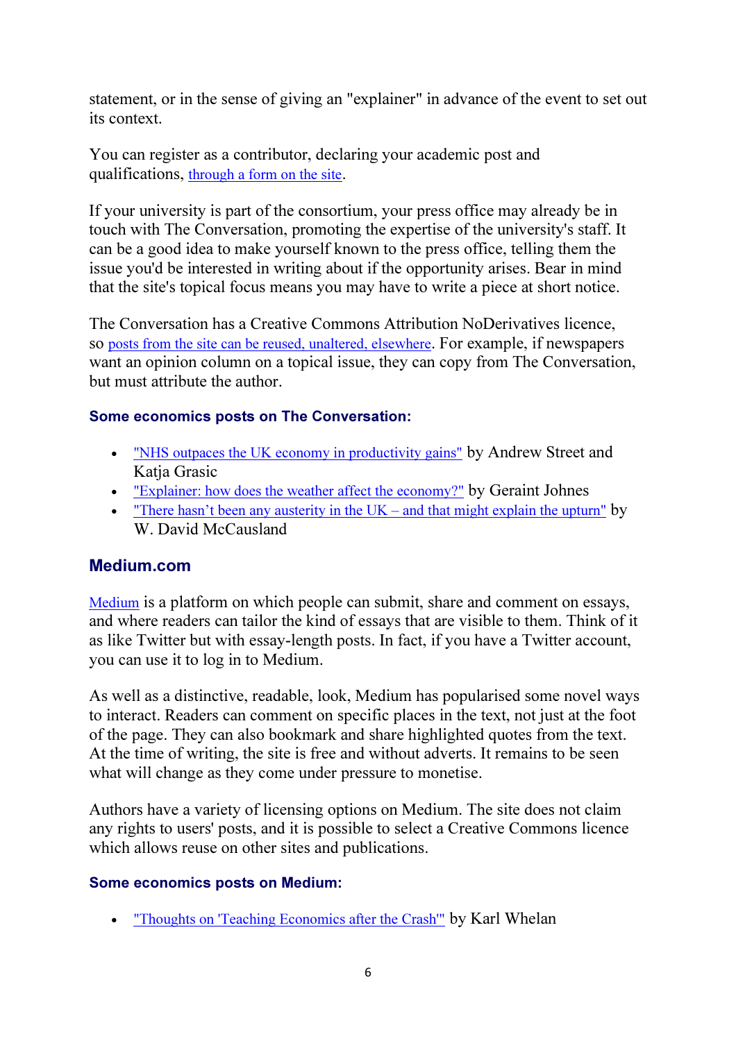statement, or in the sense of giving an "explainer" in advance of the event to set out its context.

You can register as a contributor, declaring your academic post and qualifications, through a form on the site.

If your university is part of the consortium, your press office may already be in touch with The Conversation, promoting the expertise of the university's staff. It can be a good idea to make yourself known to the press office, telling them the issue you'd be interested in writing about if the opportunity arises. Bear in mind that the site's topical focus means you may have to write a piece at short notice.

The Conversation has a Creative Commons Attribution NoDerivatives licence, so posts from the site can be reused, unaltered, elsewhere. For example, if newspapers want an opinion column on a topical issue, they can copy from The Conversation, but must attribute the author.

#### Some economics posts on The Conversation:

- "NHS outpaces the UK economy in productivity gains" by Andrew Street and Katia Grasic
- "Explainer: how does the weather affect the economy?" by Geraint Johnes
- "There hasn't been any austerity in the  $UK -$  and that might explain the upturn" by W. David McCausland

#### Medium.com

Medium is a platform on which people can submit, share and comment on essays, and where readers can tailor the kind of essays that are visible to them. Think of it as like Twitter but with essay-length posts. In fact, if you have a Twitter account, you can use it to log in to Medium.

As well as a distinctive, readable, look, Medium has popularised some novel ways to interact. Readers can comment on specific places in the text, not just at the foot of the page. They can also bookmark and share highlighted quotes from the text. At the time of writing, the site is free and without adverts. It remains to be seen what will change as they come under pressure to monetise.

Authors have a variety of licensing options on Medium. The site does not claim any rights to users' posts, and it is possible to select a Creative Commons licence which allows reuse on other sites and publications.

#### Some economics posts on Medium:

• "Thoughts on 'Teaching Economics after the Crash'" by Karl Whelan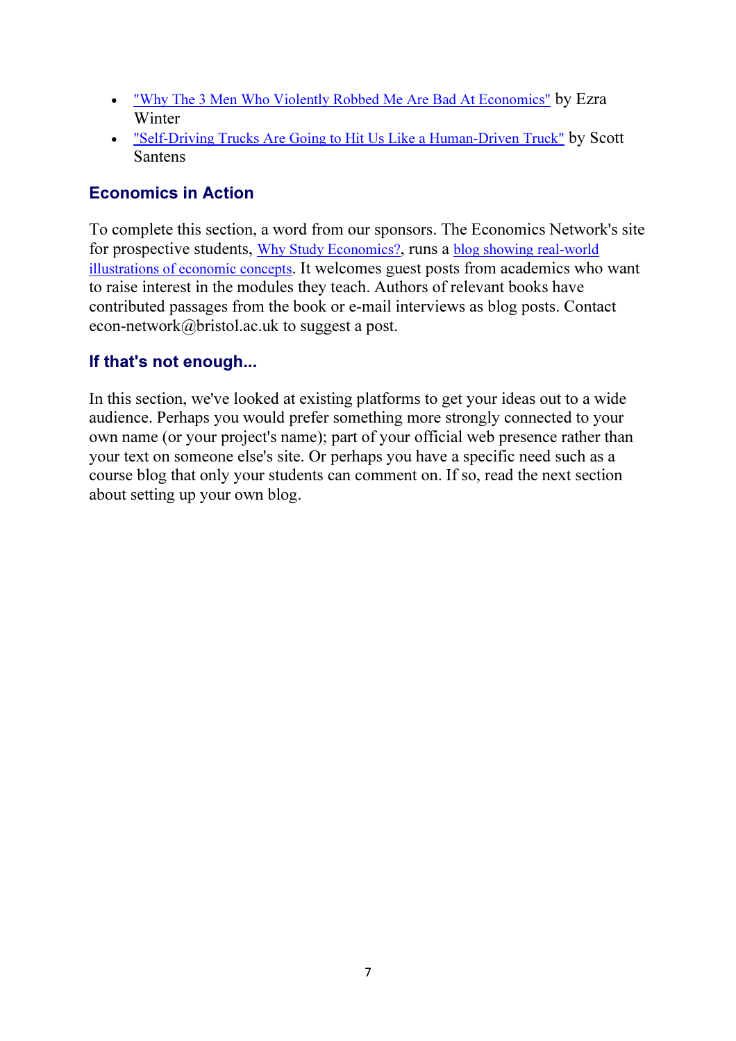- "Why The 3 Men Who Violently Robbed Me Are Bad At Economics" by Ezra Winter
- "Self-Driving Trucks Are Going to Hit Us Like a Human-Driven Truck" by Scott Santens

#### Economics in Action

To complete this section, a word from our sponsors. The Economics Network's site for prospective students, Why Study Economics?, runs a blog showing real-world illustrations of economic concepts. It welcomes guest posts from academics who want to raise interest in the modules they teach. Authors of relevant books have contributed passages from the book or e-mail interviews as blog posts. Contact econ-network@bristol.ac.uk to suggest a post.

#### If that's not enough...

In this section, we've looked at existing platforms to get your ideas out to a wide audience. Perhaps you would prefer something more strongly connected to your own name (or your project's name); part of your official web presence rather than your text on someone else's site. Or perhaps you have a specific need such as a course blog that only your students can comment on. If so, read the next section about setting up your own blog.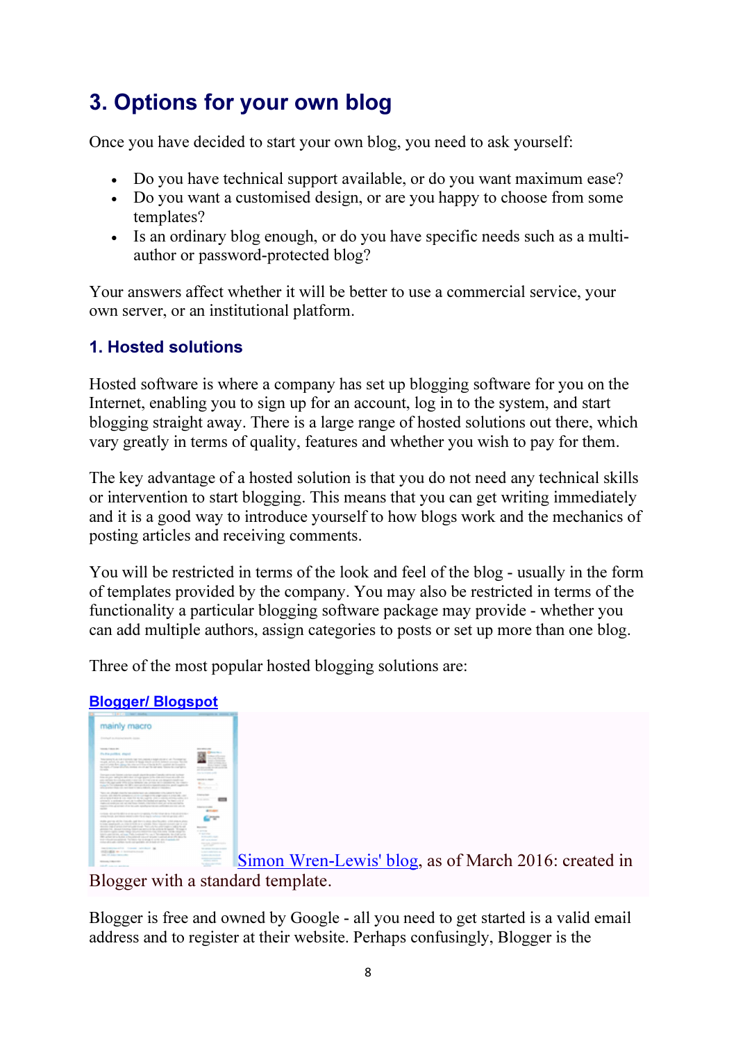## 3. Options for your own blog

Once you have decided to start your own blog, you need to ask yourself:

- Do you have technical support available, or do you want maximum ease?
- Do you want a customised design, or are you happy to choose from some templates?
- Is an ordinary blog enough, or do you have specific needs such as a multiauthor or password-protected blog?

Your answers affect whether it will be better to use a commercial service, your own server, or an institutional platform.

### 1. Hosted solutions

Hosted software is where a company has set up blogging software for you on the Internet, enabling you to sign up for an account, log in to the system, and start blogging straight away. There is a large range of hosted solutions out there, which vary greatly in terms of quality, features and whether you wish to pay for them.

The key advantage of a hosted solution is that you do not need any technical skills or intervention to start blogging. This means that you can get writing immediately and it is a good way to introduce yourself to how blogs work and the mechanics of posting articles and receiving comments.

You will be restricted in terms of the look and feel of the blog - usually in the form of templates provided by the company. You may also be restricted in terms of the functionality a particular blogging software package may provide - whether you can add multiple authors, assign categories to posts or set up more than one blog.

Three of the most popular hosted blogging solutions are:

### Blogger/ Blogspot



Simon Wren-Lewis' blog, as of March 2016: created in

Blogger with a standard template.

Blogger is free and owned by Google - all you need to get started is a valid email address and to register at their website. Perhaps confusingly, Blogger is the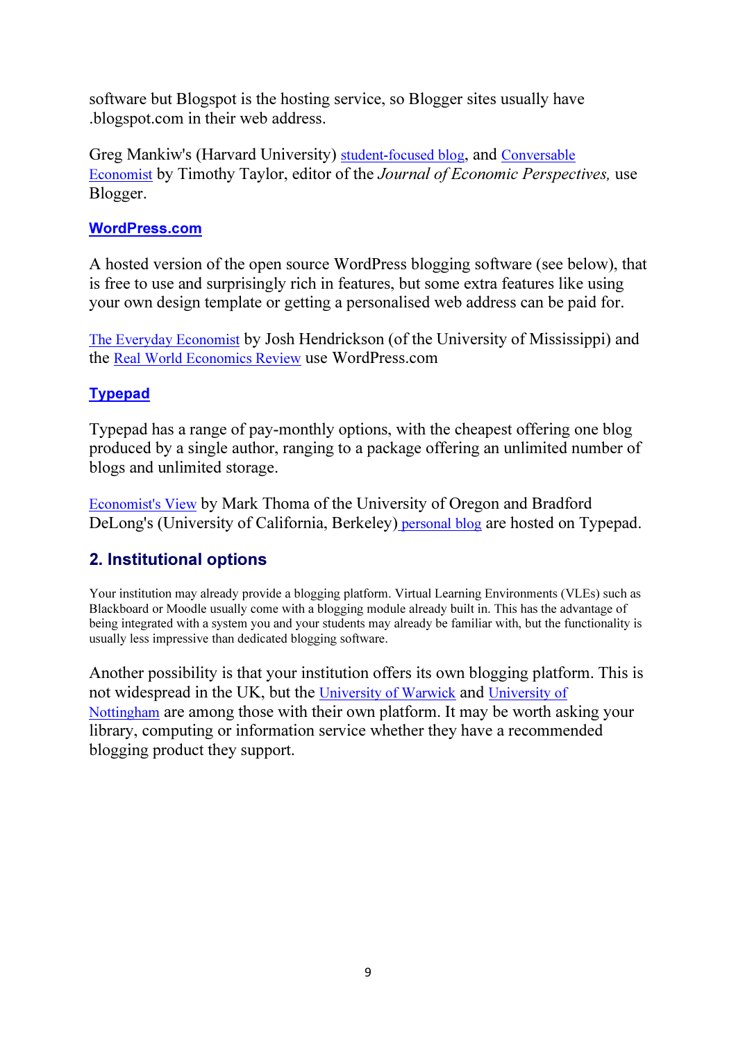software but Blogspot is the hosting service, so Blogger sites usually have .blogspot.com in their web address.

Greg Mankiw's (Harvard University) student-focused blog, and Conversable Economist by Timothy Taylor, editor of the Journal of Economic Perspectives, use Blogger.

#### WordPress.com

A hosted version of the open source WordPress blogging software (see below), that is free to use and surprisingly rich in features, but some extra features like using your own design template or getting a personalised web address can be paid for.

The Everyday Economist by Josh Hendrickson (of the University of Mississippi) and the Real World Economics Review use WordPress.com

#### Typepad

Typepad has a range of pay-monthly options, with the cheapest offering one blog produced by a single author, ranging to a package offering an unlimited number of blogs and unlimited storage.

Economist's View by Mark Thoma of the University of Oregon and Bradford DeLong's (University of California, Berkeley) personal blog are hosted on Typepad.

#### 2. Institutional options

Your institution may already provide a blogging platform. Virtual Learning Environments (VLEs) such as Blackboard or Moodle usually come with a blogging module already built in. This has the advantage of being integrated with a system you and your students may already be familiar with, but the functionality is usually less impressive than dedicated blogging software.

Another possibility is that your institution offers its own blogging platform. This is not widespread in the UK, but the University of Warwick and University of Nottingham are among those with their own platform. It may be worth asking your library, computing or information service whether they have a recommended blogging product they support.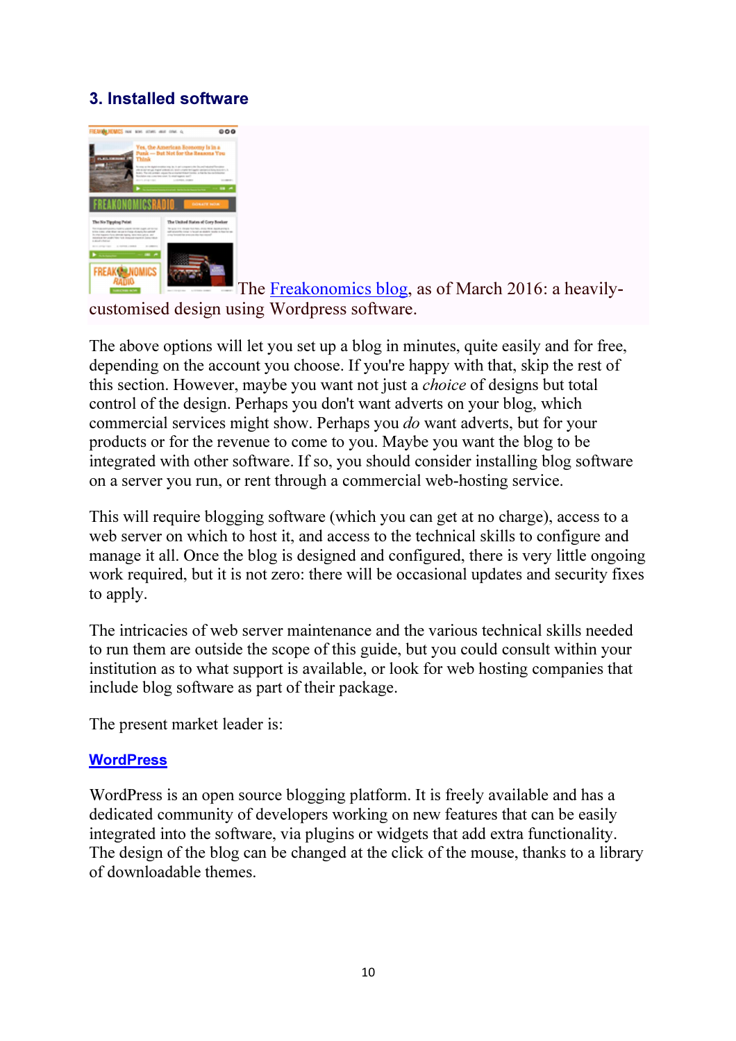#### 3. Installed software



The Freakonomics blog, as of March 2016: a heavilycustomised design using Wordpress software.

The above options will let you set up a blog in minutes, quite easily and for free, depending on the account you choose. If you're happy with that, skip the rest of this section. However, maybe you want not just a choice of designs but total control of the design. Perhaps you don't want adverts on your blog, which commercial services might show. Perhaps you do want adverts, but for your products or for the revenue to come to you. Maybe you want the blog to be integrated with other software. If so, you should consider installing blog software on a server you run, or rent through a commercial web-hosting service.

This will require blogging software (which you can get at no charge), access to a web server on which to host it, and access to the technical skills to configure and manage it all. Once the blog is designed and configured, there is very little ongoing work required, but it is not zero: there will be occasional updates and security fixes to apply.

The intricacies of web server maintenance and the various technical skills needed to run them are outside the scope of this guide, but you could consult within your institution as to what support is available, or look for web hosting companies that include blog software as part of their package.

The present market leader is:

#### **WordPress**

WordPress is an open source blogging platform. It is freely available and has a dedicated community of developers working on new features that can be easily integrated into the software, via plugins or widgets that add extra functionality. The design of the blog can be changed at the click of the mouse, thanks to a library of downloadable themes.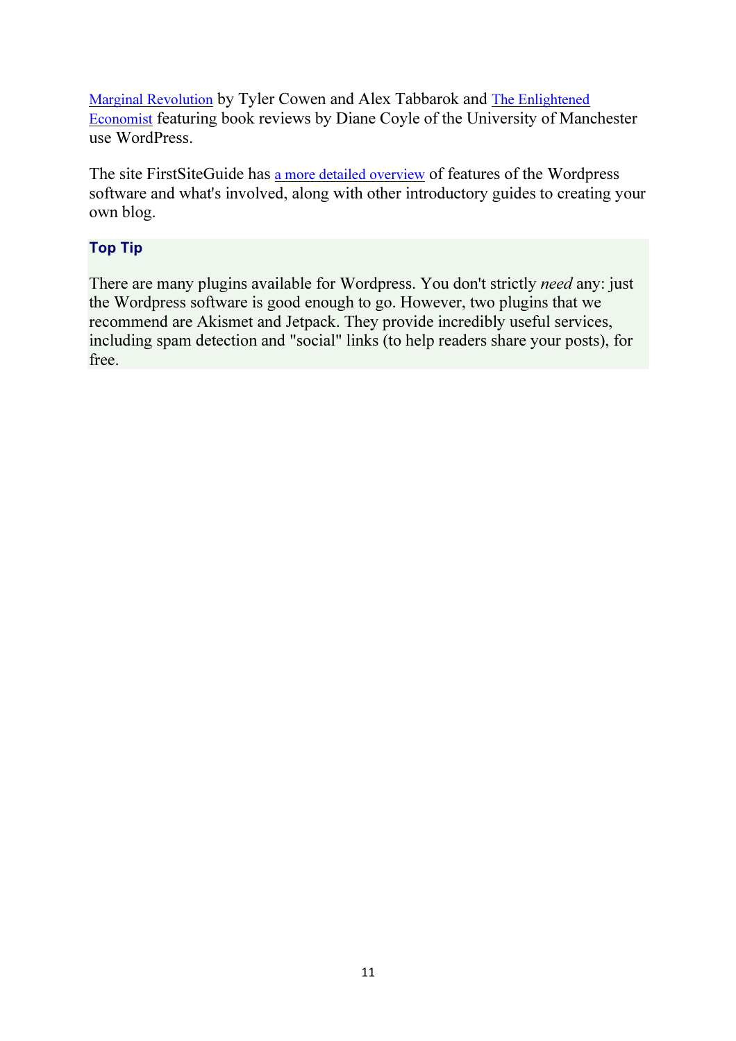Marginal Revolution by Tyler Cowen and Alex Tabbarok and The Enlightened Economist featuring book reviews by Diane Coyle of the University of Manchester use WordPress.

The site FirstSiteGuide has a more detailed overview of features of the Wordpress software and what's involved, along with other introductory guides to creating your own blog.

#### Top Tip

There are many plugins available for Wordpress. You don't strictly need any: just the Wordpress software is good enough to go. However, two plugins that we recommend are Akismet and Jetpack. They provide incredibly useful services, including spam detection and "social" links (to help readers share your posts), for free.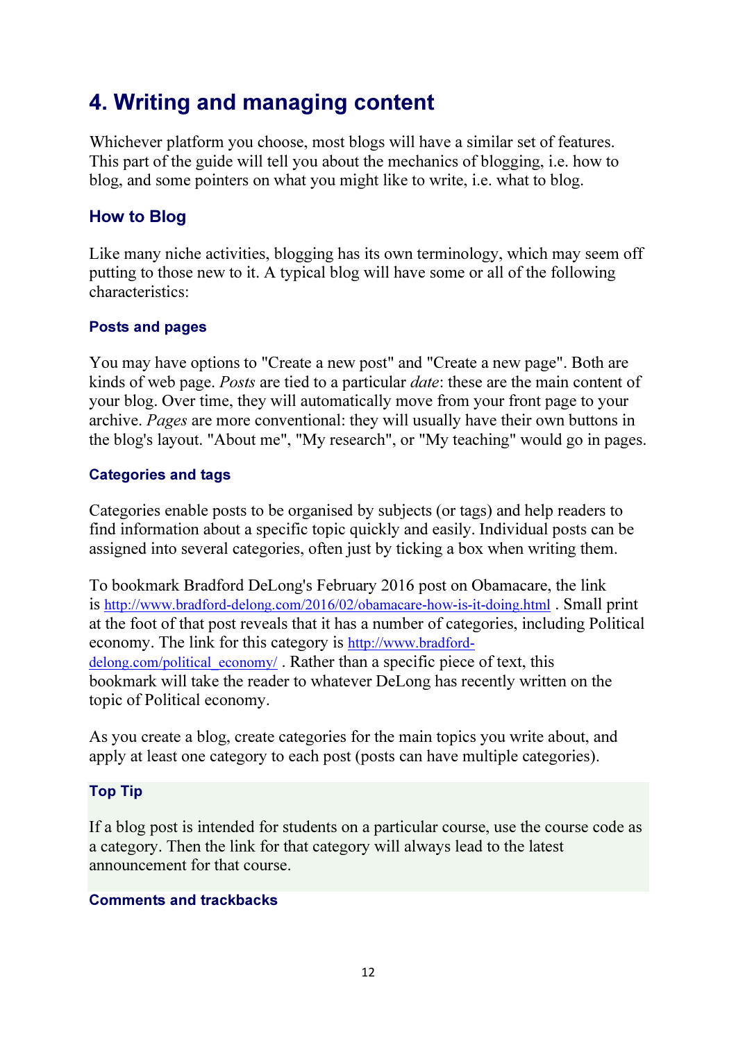### 4. Writing and managing content

Whichever platform you choose, most blogs will have a similar set of features. This part of the guide will tell you about the mechanics of blogging, i.e. how to blog, and some pointers on what you might like to write, i.e. what to blog.

#### How to Blog

Like many niche activities, blogging has its own terminology, which may seem off putting to those new to it. A typical blog will have some or all of the following characteristics:

#### Posts and pages

You may have options to "Create a new post" and "Create a new page". Both are kinds of web page. Posts are tied to a particular date: these are the main content of your blog. Over time, they will automatically move from your front page to your archive. Pages are more conventional: they will usually have their own buttons in the blog's layout. "About me", "My research", or "My teaching" would go in pages.

#### Categories and tags

Categories enable posts to be organised by subjects (or tags) and help readers to find information about a specific topic quickly and easily. Individual posts can be assigned into several categories, often just by ticking a box when writing them.

To bookmark Bradford DeLong's February 2016 post on Obamacare, the link is http://www.bradford-delong.com/2016/02/obamacare-how-is-it-doing.html . Small print at the foot of that post reveals that it has a number of categories, including Political economy. The link for this category is http://www.bradforddelong.com/political\_economy/. Rather than a specific piece of text, this bookmark will take the reader to whatever DeLong has recently written on the topic of Political economy.

As you create a blog, create categories for the main topics you write about, and apply at least one category to each post (posts can have multiple categories).

#### Top Tip

If a blog post is intended for students on a particular course, use the course code as a category. Then the link for that category will always lead to the latest announcement for that course.

#### Comments and trackbacks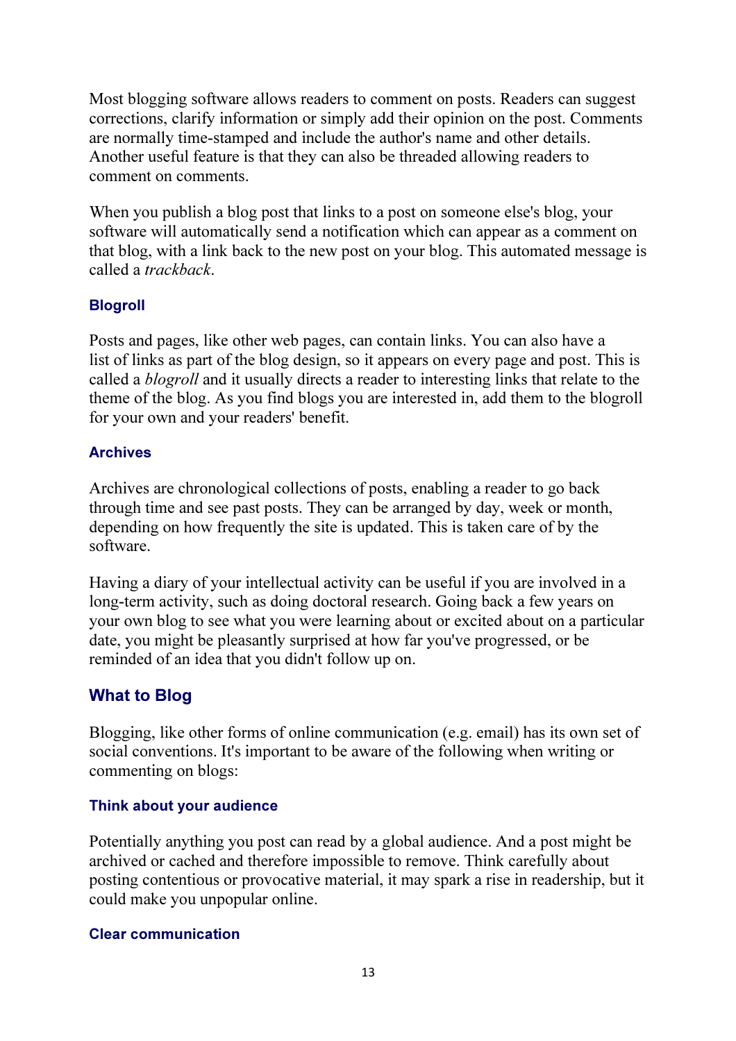Most blogging software allows readers to comment on posts. Readers can suggest corrections, clarify information or simply add their opinion on the post. Comments are normally time-stamped and include the author's name and other details. Another useful feature is that they can also be threaded allowing readers to comment on comments.

When you publish a blog post that links to a post on someone else's blog, your software will automatically send a notification which can appear as a comment on that blog, with a link back to the new post on your blog. This automated message is called a trackback.

#### Blogroll

Posts and pages, like other web pages, can contain links. You can also have a list of links as part of the blog design, so it appears on every page and post. This is called a blogroll and it usually directs a reader to interesting links that relate to the theme of the blog. As you find blogs you are interested in, add them to the blogroll for your own and your readers' benefit.

#### Archives

Archives are chronological collections of posts, enabling a reader to go back through time and see past posts. They can be arranged by day, week or month, depending on how frequently the site is updated. This is taken care of by the software.

Having a diary of your intellectual activity can be useful if you are involved in a long-term activity, such as doing doctoral research. Going back a few years on your own blog to see what you were learning about or excited about on a particular date, you might be pleasantly surprised at how far you've progressed, or be reminded of an idea that you didn't follow up on.

### What to Blog

Blogging, like other forms of online communication (e.g. email) has its own set of social conventions. It's important to be aware of the following when writing or commenting on blogs:

#### Think about your audience

Potentially anything you post can read by a global audience. And a post might be archived or cached and therefore impossible to remove. Think carefully about posting contentious or provocative material, it may spark a rise in readership, but it could make you unpopular online.

#### Clear communication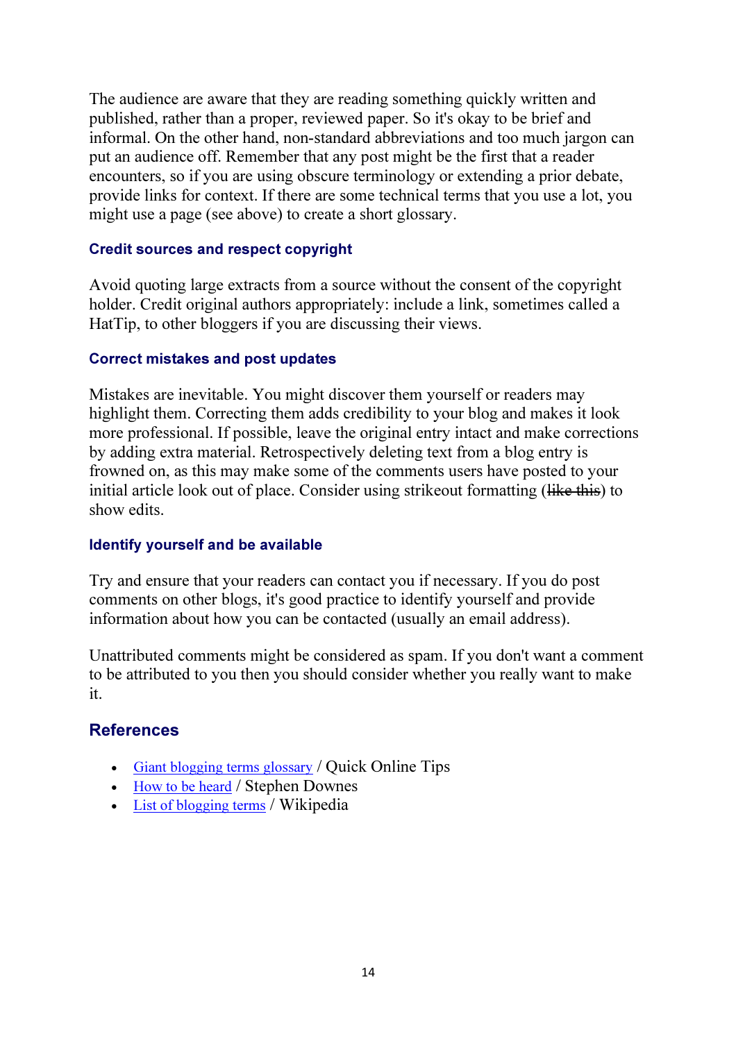The audience are aware that they are reading something quickly written and published, rather than a proper, reviewed paper. So it's okay to be brief and informal. On the other hand, non-standard abbreviations and too much jargon can put an audience off. Remember that any post might be the first that a reader encounters, so if you are using obscure terminology or extending a prior debate, provide links for context. If there are some technical terms that you use a lot, you might use a page (see above) to create a short glossary.

#### Credit sources and respect copyright

Avoid quoting large extracts from a source without the consent of the copyright holder. Credit original authors appropriately: include a link, sometimes called a HatTip, to other bloggers if you are discussing their views.

#### Correct mistakes and post updates

Mistakes are inevitable. You might discover them yourself or readers may highlight them. Correcting them adds credibility to your blog and makes it look more professional. If possible, leave the original entry intact and make corrections by adding extra material. Retrospectively deleting text from a blog entry is frowned on, as this may make some of the comments users have posted to your initial article look out of place. Consider using strikeout formatting (like this) to show edits.

#### Identify yourself and be available

Try and ensure that your readers can contact you if necessary. If you do post comments on other blogs, it's good practice to identify yourself and provide information about how you can be contacted (usually an email address).

Unattributed comments might be considered as spam. If you don't want a comment to be attributed to you then you should consider whether you really want to make it.

#### **References**

- Giant blogging terms glossary / Quick Online Tips
- How to be heard / Stephen Downes
- List of blogging terms / Wikipedia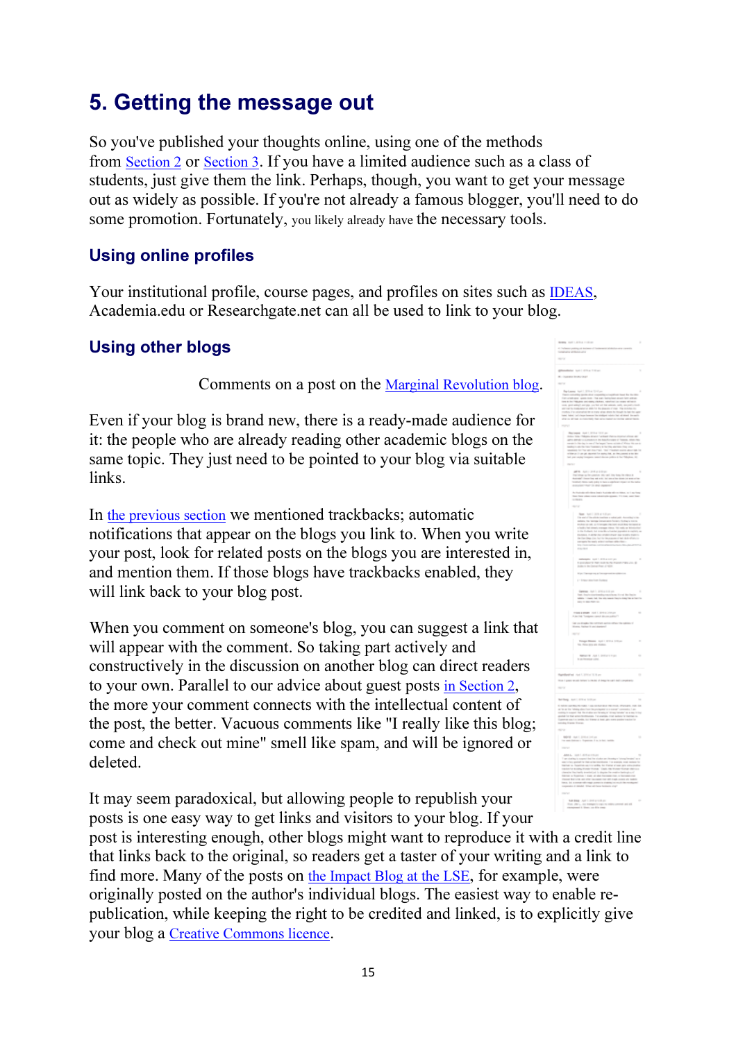### 5. Getting the message out

So you've published your thoughts online, using one of the methods from Section 2 or Section 3. If you have a limited audience such as a class of students, just give them the link. Perhaps, though, you want to get your message out as widely as possible. If you're not already a famous blogger, you'll need to do some promotion. Fortunately, you likely already have the necessary tools.

#### Using online profiles

Your institutional profile, course pages, and profiles on sites such as IDEAS, Academia.edu or Researchgate.net can all be used to link to your blog.

#### Using other blogs

Comments on a post on the Marginal Revolution blog.

Even if your blog is brand new, there is a ready-made audience for it: the people who are already reading other academic blogs on the same topic. They just need to be pointed to your blog via suitable links.

In the previous section we mentioned trackbacks; automatic notifications that appear on the blogs you link to. When you write your post, look for related posts on the blogs you are interested in, and mention them. If those blogs have trackbacks enabled, they will link back to your blog post.

When you comment on someone's blog, you can suggest a link that will appear with the comment. So taking part actively and constructively in the discussion on another blog can direct readers to your own. Parallel to our advice about guest posts in Section 2, the more your comment connects with the intellectual content of the post, the better. Vacuous comments like "I really like this blog; come and check out mine" smell like spam, and will be ignored or deleted.

It may seem paradoxical, but allowing people to republish your posts is one easy way to get links and visitors to your blog. If your

post is interesting enough, other blogs might want to reproduce it with a credit line that links back to the original, so readers get a taster of your writing and a link to find more. Many of the posts on the Impact Blog at the LSE, for example, were originally posted on the author's individual blogs. The easiest way to enable republication, while keeping the right to be credited and linked, is to explicitly give your blog a Creative Commons licence.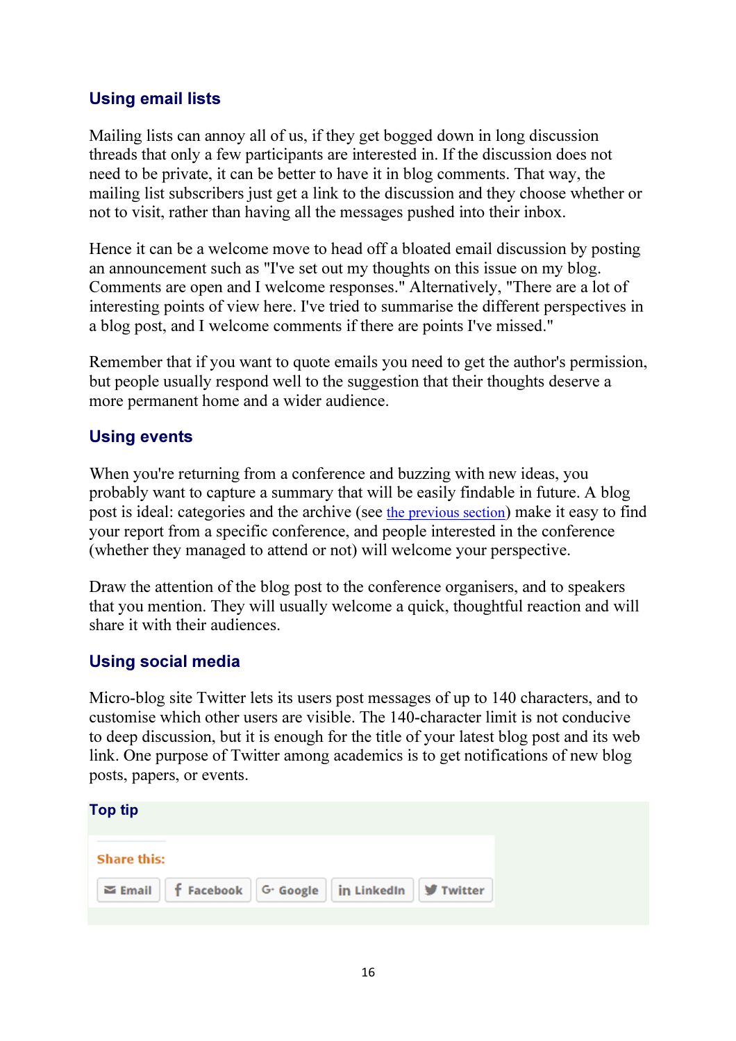#### Using email lists

Mailing lists can annoy all of us, if they get bogged down in long discussion threads that only a few participants are interested in. If the discussion does not need to be private, it can be better to have it in blog comments. That way, the mailing list subscribers just get a link to the discussion and they choose whether or not to visit, rather than having all the messages pushed into their inbox.

Hence it can be a welcome move to head off a bloated email discussion by posting an announcement such as "I've set out my thoughts on this issue on my blog. Comments are open and I welcome responses." Alternatively, "There are a lot of interesting points of view here. I've tried to summarise the different perspectives in a blog post, and I welcome comments if there are points I've missed."

Remember that if you want to quote emails you need to get the author's permission, but people usually respond well to the suggestion that their thoughts deserve a more permanent home and a wider audience.

#### Using events

When you're returning from a conference and buzzing with new ideas, you probably want to capture a summary that will be easily findable in future. A blog post is ideal: categories and the archive (see the previous section) make it easy to find your report from a specific conference, and people interested in the conference (whether they managed to attend or not) will welcome your perspective.

Draw the attention of the blog post to the conference organisers, and to speakers that you mention. They will usually welcome a quick, thoughtful reaction and will share it with their audiences.

#### Using social media

Micro-blog site Twitter lets its users post messages of up to 140 characters, and to customise which other users are visible. The 140-character limit is not conducive to deep discussion, but it is enough for the title of your latest blog post and its web link. One purpose of Twitter among academics is to get notifications of new blog posts, papers, or events.

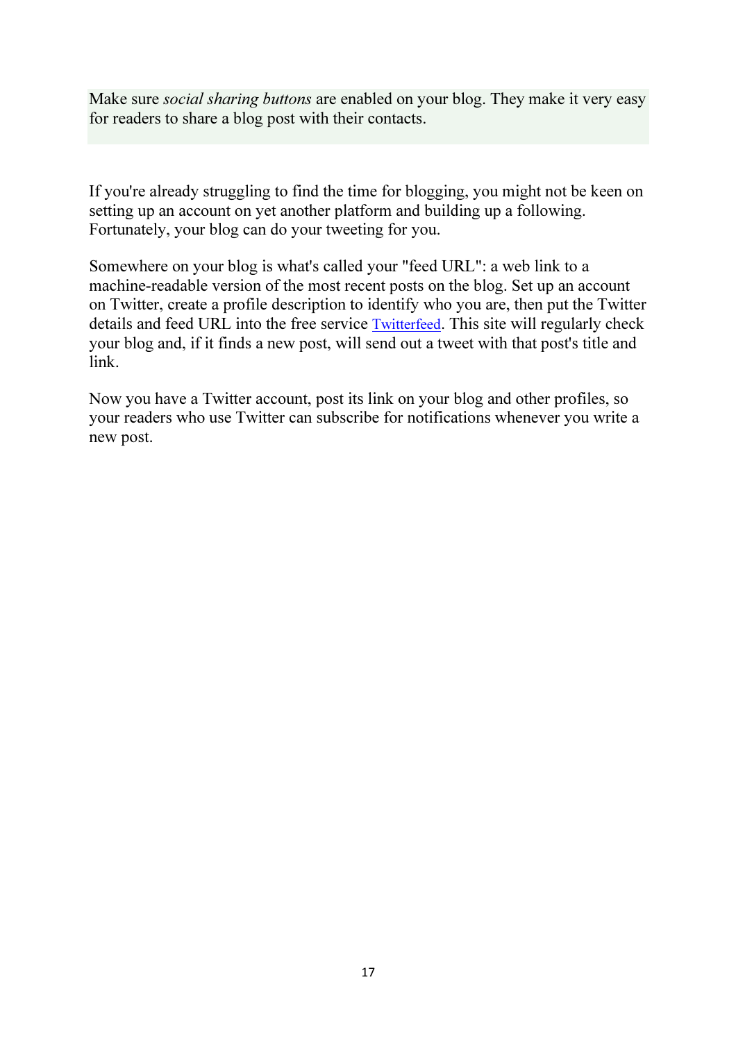Make sure *social sharing buttons* are enabled on your blog. They make it very easy for readers to share a blog post with their contacts.

If you're already struggling to find the time for blogging, you might not be keen on setting up an account on yet another platform and building up a following. Fortunately, your blog can do your tweeting for you.

Somewhere on your blog is what's called your "feed URL": a web link to a machine-readable version of the most recent posts on the blog. Set up an account on Twitter, create a profile description to identify who you are, then put the Twitter details and feed URL into the free service Twitterfeed. This site will regularly check your blog and, if it finds a new post, will send out a tweet with that post's title and link.

Now you have a Twitter account, post its link on your blog and other profiles, so your readers who use Twitter can subscribe for notifications whenever you write a new post.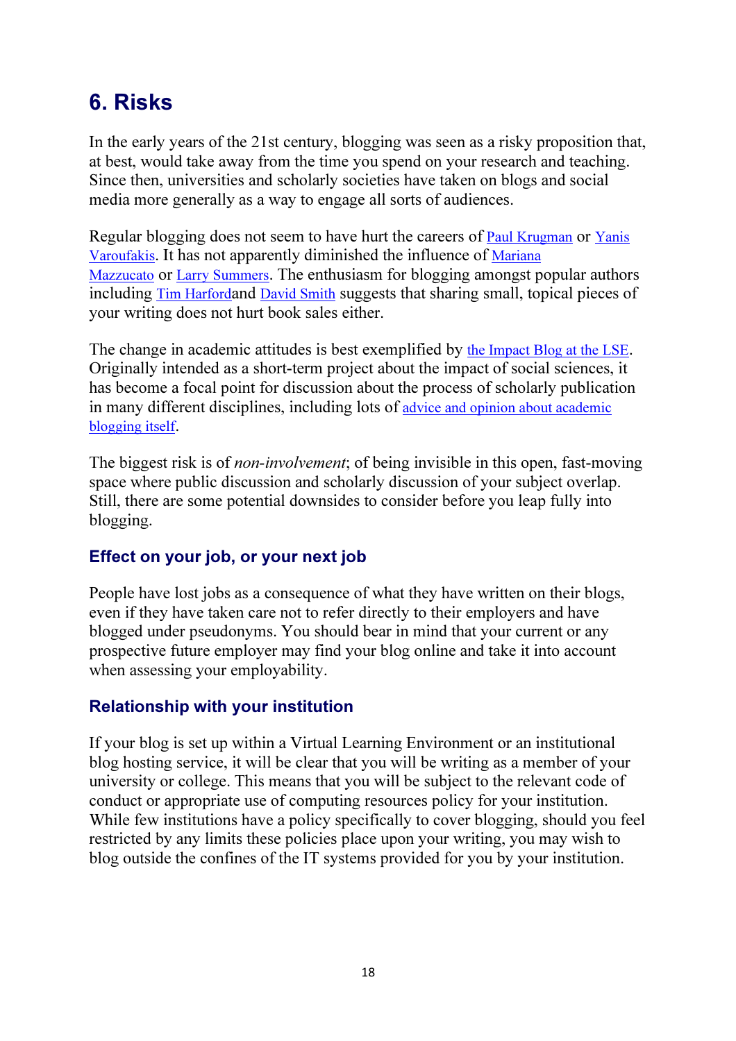## 6. Risks

In the early years of the 21st century, blogging was seen as a risky proposition that, at best, would take away from the time you spend on your research and teaching. Since then, universities and scholarly societies have taken on blogs and social media more generally as a way to engage all sorts of audiences.

Regular blogging does not seem to have hurt the careers of **Paul Krugman** or Yanis Varoufakis. It has not apparently diminished the influence of Mariana Mazzucato or Larry Summers. The enthusiasm for blogging amongst popular authors including Tim Harfordand David Smith suggests that sharing small, topical pieces of your writing does not hurt book sales either.

The change in academic attitudes is best exemplified by the Impact Blog at the LSE. Originally intended as a short-term project about the impact of social sciences, it has become a focal point for discussion about the process of scholarly publication in many different disciplines, including lots of advice and opinion about academic blogging itself.

The biggest risk is of *non-involvement*; of being invisible in this open, fast-moving space where public discussion and scholarly discussion of your subject overlap. Still, there are some potential downsides to consider before you leap fully into blogging.

#### Effect on your job, or your next job

People have lost jobs as a consequence of what they have written on their blogs, even if they have taken care not to refer directly to their employers and have blogged under pseudonyms. You should bear in mind that your current or any prospective future employer may find your blog online and take it into account when assessing your employability.

#### Relationship with your institution

If your blog is set up within a Virtual Learning Environment or an institutional blog hosting service, it will be clear that you will be writing as a member of your university or college. This means that you will be subject to the relevant code of conduct or appropriate use of computing resources policy for your institution. While few institutions have a policy specifically to cover blogging, should you feel restricted by any limits these policies place upon your writing, you may wish to blog outside the confines of the IT systems provided for you by your institution.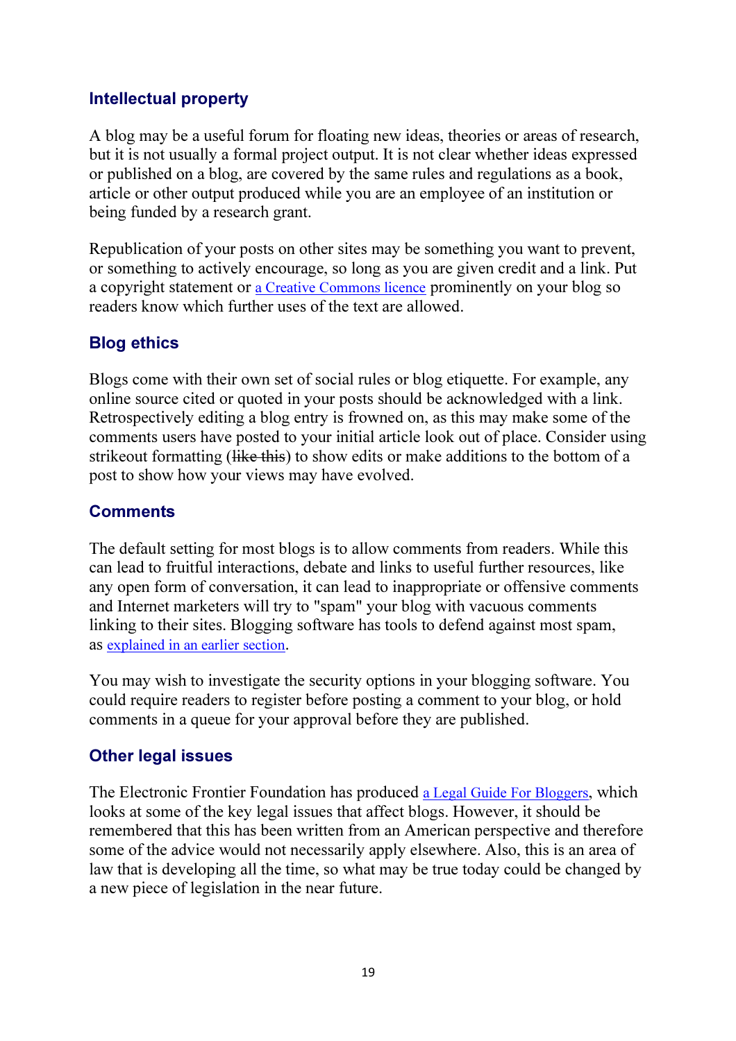#### Intellectual property

A blog may be a useful forum for floating new ideas, theories or areas of research, but it is not usually a formal project output. It is not clear whether ideas expressed or published on a blog, are covered by the same rules and regulations as a book, article or other output produced while you are an employee of an institution or being funded by a research grant.

Republication of your posts on other sites may be something you want to prevent, or something to actively encourage, so long as you are given credit and a link. Put a copyright statement or a Creative Commons licence prominently on your blog so readers know which further uses of the text are allowed.

### Blog ethics

Blogs come with their own set of social rules or blog etiquette. For example, any online source cited or quoted in your posts should be acknowledged with a link. Retrospectively editing a blog entry is frowned on, as this may make some of the comments users have posted to your initial article look out of place. Consider using strikeout formatting (like this) to show edits or make additions to the bottom of a post to show how your views may have evolved.

#### **Comments**

The default setting for most blogs is to allow comments from readers. While this can lead to fruitful interactions, debate and links to useful further resources, like any open form of conversation, it can lead to inappropriate or offensive comments and Internet marketers will try to "spam" your blog with vacuous comments linking to their sites. Blogging software has tools to defend against most spam, as explained in an earlier section.

You may wish to investigate the security options in your blogging software. You could require readers to register before posting a comment to your blog, or hold comments in a queue for your approval before they are published.

#### Other legal issues

The Electronic Frontier Foundation has produced a Legal Guide For Bloggers, which looks at some of the key legal issues that affect blogs. However, it should be remembered that this has been written from an American perspective and therefore some of the advice would not necessarily apply elsewhere. Also, this is an area of law that is developing all the time, so what may be true today could be changed by a new piece of legislation in the near future.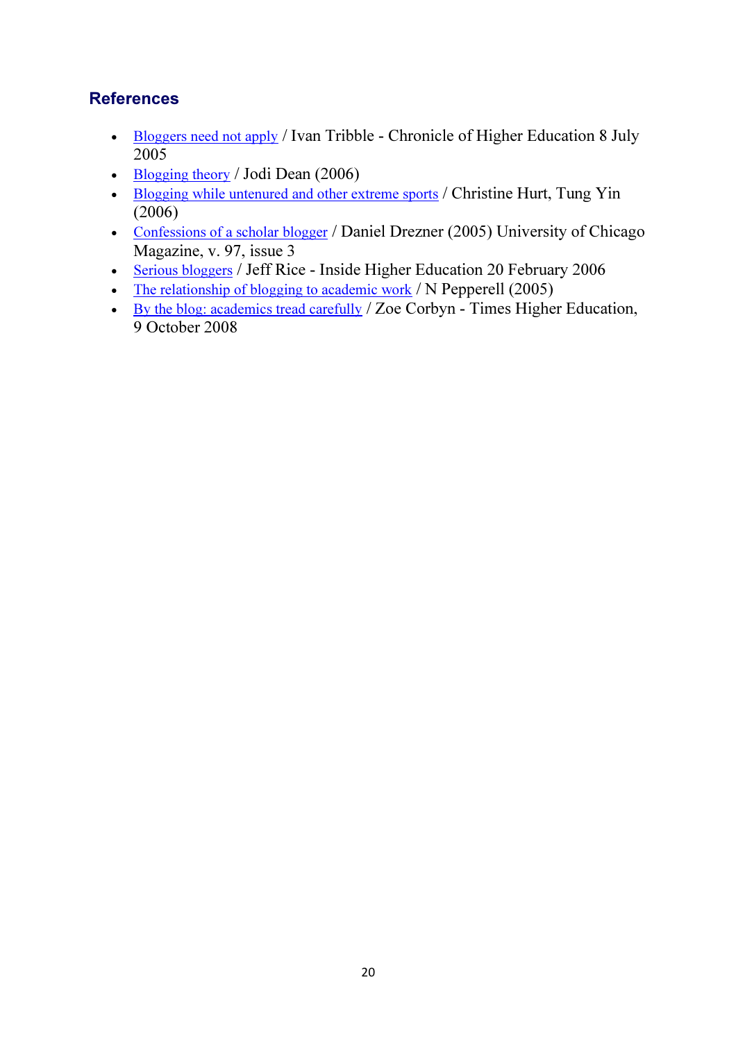#### **References**

- Bloggers need not apply / Ivan Tribble Chronicle of Higher Education 8 July 2005
- Blogging theory / Jodi Dean (2006)
- Blogging while untenured and other extreme sports / Christine Hurt, Tung Yin (2006)
- Confessions of a scholar blogger / Daniel Drezner (2005) University of Chicago Magazine, v. 97, issue 3
- Serious bloggers / Jeff Rice Inside Higher Education 20 February 2006
- The relationship of blogging to academic work / N Pepperell (2005)
- By the blog: academics tread carefully / Zoe Corbyn Times Higher Education, 9 October 2008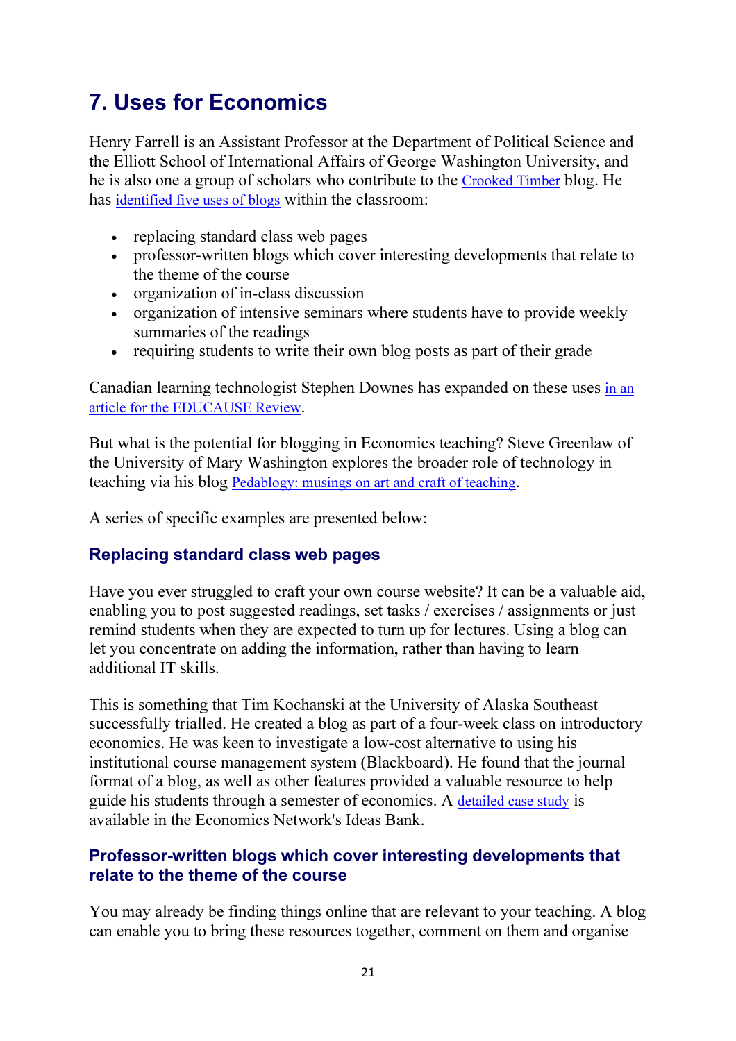## 7. Uses for Economics

Henry Farrell is an Assistant Professor at the Department of Political Science and the Elliott School of International Affairs of George Washington University, and he is also one a group of scholars who contribute to the Crooked Timber blog. He has identified five uses of blogs within the classroom:

- replacing standard class web pages
- professor-written blogs which cover interesting developments that relate to the theme of the course
- organization of in-class discussion
- organization of intensive seminars where students have to provide weekly summaries of the readings
- requiring students to write their own blog posts as part of their grade

Canadian learning technologist Stephen Downes has expanded on these uses in an article for the EDUCAUSE Review.

But what is the potential for blogging in Economics teaching? Steve Greenlaw of the University of Mary Washington explores the broader role of technology in teaching via his blog Pedablogy: musings on art and craft of teaching.

A series of specific examples are presented below:

#### Replacing standard class web pages

Have you ever struggled to craft your own course website? It can be a valuable aid, enabling you to post suggested readings, set tasks / exercises / assignments or just remind students when they are expected to turn up for lectures. Using a blog can let you concentrate on adding the information, rather than having to learn additional IT skills.

This is something that Tim Kochanski at the University of Alaska Southeast successfully trialled. He created a blog as part of a four-week class on introductory economics. He was keen to investigate a low-cost alternative to using his institutional course management system (Blackboard). He found that the journal format of a blog, as well as other features provided a valuable resource to help guide his students through a semester of economics. A detailed case study is available in the Economics Network's Ideas Bank.

#### Professor-written blogs which cover interesting developments that relate to the theme of the course

You may already be finding things online that are relevant to your teaching. A blog can enable you to bring these resources together, comment on them and organise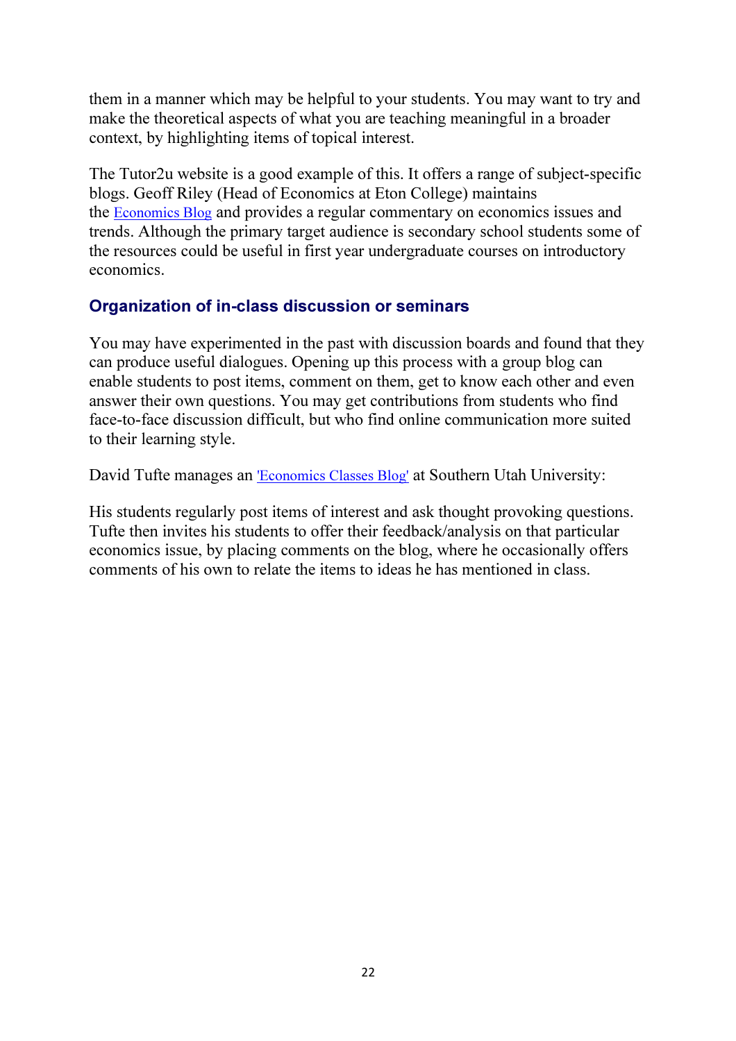them in a manner which may be helpful to your students. You may want to try and make the theoretical aspects of what you are teaching meaningful in a broader context, by highlighting items of topical interest.

The Tutor2u website is a good example of this. It offers a range of subject-specific blogs. Geoff Riley (Head of Economics at Eton College) maintains the Economics Blog and provides a regular commentary on economics issues and trends. Although the primary target audience is secondary school students some of the resources could be useful in first year undergraduate courses on introductory economics.

#### Organization of in-class discussion or seminars

You may have experimented in the past with discussion boards and found that they can produce useful dialogues. Opening up this process with a group blog can enable students to post items, comment on them, get to know each other and even answer their own questions. You may get contributions from students who find face-to-face discussion difficult, but who find online communication more suited to their learning style.

David Tufte manages an 'Economics Classes Blog' at Southern Utah University:

His students regularly post items of interest and ask thought provoking questions. Tufte then invites his students to offer their feedback/analysis on that particular economics issue, by placing comments on the blog, where he occasionally offers comments of his own to relate the items to ideas he has mentioned in class.